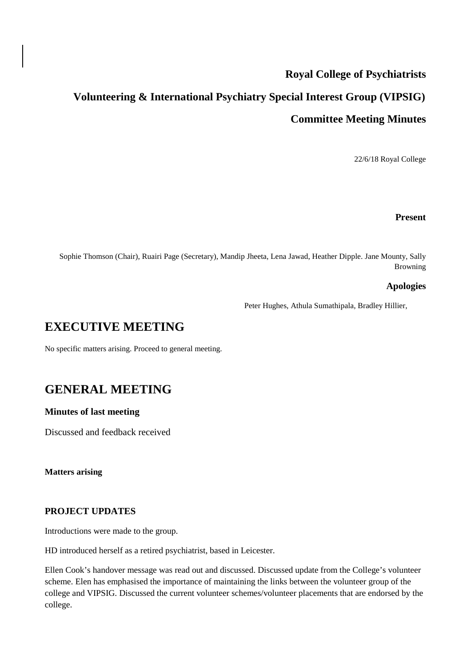# **Royal College of Psychiatrists**

# **Volunteering & International Psychiatry Special Interest Group (VIPSIG) Committee Meeting Minutes**

22/6/18 Royal College

#### **Present**

Sophie Thomson (Chair), Ruairi Page (Secretary), Mandip Jheeta, Lena Jawad, Heather Dipple. Jane Mounty, Sally Browning

#### **Apologies**

Peter Hughes, Athula Sumathipala, Bradley Hillier,

# **EXECUTIVE MEETING**

No specific matters arising. Proceed to general meeting.

# **GENERAL MEETING**

#### **Minutes of last meeting**

Discussed and feedback received

**Matters arising**

#### **PROJECT UPDATES**

Introductions were made to the group.

HD introduced herself as a retired psychiatrist, based in Leicester.

Ellen Cook's handover message was read out and discussed. Discussed update from the College's volunteer scheme. Elen has emphasised the importance of maintaining the links between the volunteer group of the college and VIPSIG. Discussed the current volunteer schemes/volunteer placements that are endorsed by the college.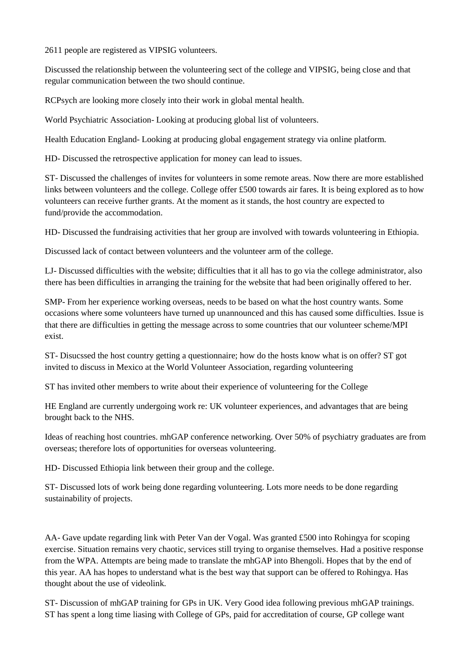2611 people are registered as VIPSIG volunteers.

Discussed the relationship between the volunteering sect of the college and VIPSIG, being close and that regular communication between the two should continue.

RCPsych are looking more closely into their work in global mental health.

World Psychiatric Association- Looking at producing global list of volunteers.

Health Education England- Looking at producing global engagement strategy via online platform.

HD- Discussed the retrospective application for money can lead to issues.

ST- Discussed the challenges of invites for volunteers in some remote areas. Now there are more established links between volunteers and the college. College offer £500 towards air fares. It is being explored as to how volunteers can receive further grants. At the moment as it stands, the host country are expected to fund/provide the accommodation.

HD- Discussed the fundraising activities that her group are involved with towards volunteering in Ethiopia.

Discussed lack of contact between volunteers and the volunteer arm of the college.

LJ- Discussed difficulties with the website; difficulties that it all has to go via the college administrator, also there has been difficulties in arranging the training for the website that had been originally offered to her.

SMP- From her experience working overseas, needs to be based on what the host country wants. Some occasions where some volunteers have turned up unannounced and this has caused some difficulties. Issue is that there are difficulties in getting the message across to some countries that our volunteer scheme/MPI exist.

ST- Disucssed the host country getting a questionnaire; how do the hosts know what is on offer? ST got invited to discuss in Mexico at the World Volunteer Association, regarding volunteering

ST has invited other members to write about their experience of volunteering for the College

HE England are currently undergoing work re: UK volunteer experiences, and advantages that are being brought back to the NHS.

Ideas of reaching host countries. mhGAP conference networking. Over 50% of psychiatry graduates are from overseas; therefore lots of opportunities for overseas volunteering.

HD- Discussed Ethiopia link between their group and the college.

ST- Discussed lots of work being done regarding volunteering. Lots more needs to be done regarding sustainability of projects.

AA- Gave update regarding link with Peter Van der Vogal. Was granted £500 into Rohingya for scoping exercise. Situation remains very chaotic, services still trying to organise themselves. Had a positive response from the WPA. Attempts are being made to translate the mhGAP into Bhengoli. Hopes that by the end of this year. AA has hopes to understand what is the best way that support can be offered to Rohingya. Has thought about the use of videolink.

ST- Discussion of mhGAP training for GPs in UK. Very Good idea following previous mhGAP trainings. ST has spent a long time liasing with College of GPs, paid for accreditation of course, GP college want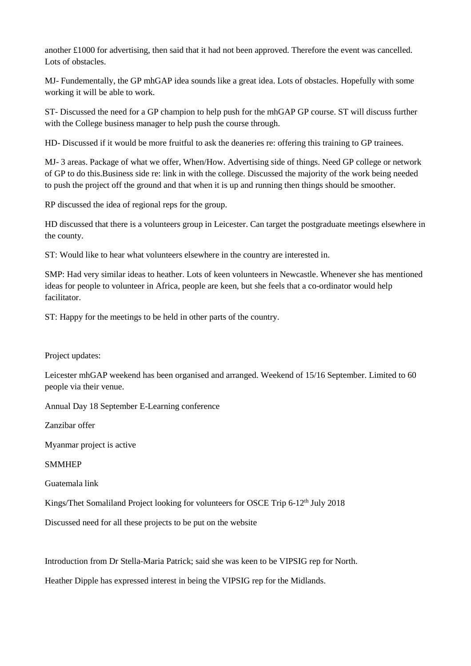another £1000 for advertising, then said that it had not been approved. Therefore the event was cancelled. Lots of obstacles.

MJ- Fundementally, the GP mhGAP idea sounds like a great idea. Lots of obstacles. Hopefully with some working it will be able to work.

ST- Discussed the need for a GP champion to help push for the mhGAP GP course. ST will discuss further with the College business manager to help push the course through.

HD- Discussed if it would be more fruitful to ask the deaneries re: offering this training to GP trainees.

MJ- 3 areas. Package of what we offer, When/How. Advertising side of things. Need GP college or network of GP to do this.Business side re: link in with the college. Discussed the majority of the work being needed to push the project off the ground and that when it is up and running then things should be smoother.

RP discussed the idea of regional reps for the group.

HD discussed that there is a volunteers group in Leicester. Can target the postgraduate meetings elsewhere in the county.

ST: Would like to hear what volunteers elsewhere in the country are interested in.

SMP: Had very similar ideas to heather. Lots of keen volunteers in Newcastle. Whenever she has mentioned ideas for people to volunteer in Africa, people are keen, but she feels that a co-ordinator would help facilitator.

ST: Happy for the meetings to be held in other parts of the country.

Project updates:

Leicester mhGAP weekend has been organised and arranged. Weekend of 15/16 September. Limited to 60 people via their venue.

Annual Day 18 September E-Learning conference

Zanzibar offer

Myanmar project is active

SMMHEP

Guatemala link

Kings/Thet Somaliland Project looking for volunteers for OSCE Trip 6-12<sup>th</sup> July 2018

Discussed need for all these projects to be put on the website

Introduction from Dr Stella-Maria Patrick; said she was keen to be VIPSIG rep for North.

Heather Dipple has expressed interest in being the VIPSIG rep for the Midlands.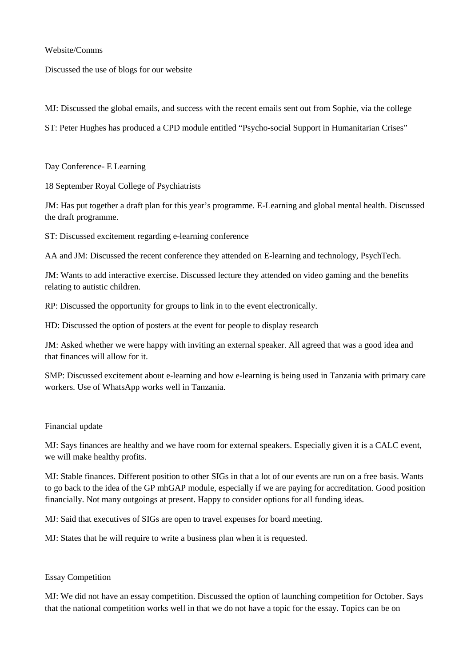Website/Comms

Discussed the use of blogs for our website

MJ: Discussed the global emails, and success with the recent emails sent out from Sophie, via the college

ST: Peter Hughes has produced a CPD module entitled "Psycho-social Support in Humanitarian Crises"

Day Conference- E Learning

18 September Royal College of Psychiatrists

JM: Has put together a draft plan for this year's programme. E-Learning and global mental health. Discussed the draft programme.

ST: Discussed excitement regarding e-learning conference

AA and JM: Discussed the recent conference they attended on E-learning and technology, PsychTech.

JM: Wants to add interactive exercise. Discussed lecture they attended on video gaming and the benefits relating to autistic children.

RP: Discussed the opportunity for groups to link in to the event electronically.

HD: Discussed the option of posters at the event for people to display research

JM: Asked whether we were happy with inviting an external speaker. All agreed that was a good idea and that finances will allow for it.

SMP: Discussed excitement about e-learning and how e-learning is being used in Tanzania with primary care workers. Use of WhatsApp works well in Tanzania.

#### Financial update

MJ: Says finances are healthy and we have room for external speakers. Especially given it is a CALC event, we will make healthy profits.

MJ: Stable finances. Different position to other SIGs in that a lot of our events are run on a free basis. Wants to go back to the idea of the GP mhGAP module, especially if we are paying for accreditation. Good position financially. Not many outgoings at present. Happy to consider options for all funding ideas.

MJ: Said that executives of SIGs are open to travel expenses for board meeting.

MJ: States that he will require to write a business plan when it is requested.

#### Essay Competition

MJ: We did not have an essay competition. Discussed the option of launching competition for October. Says that the national competition works well in that we do not have a topic for the essay. Topics can be on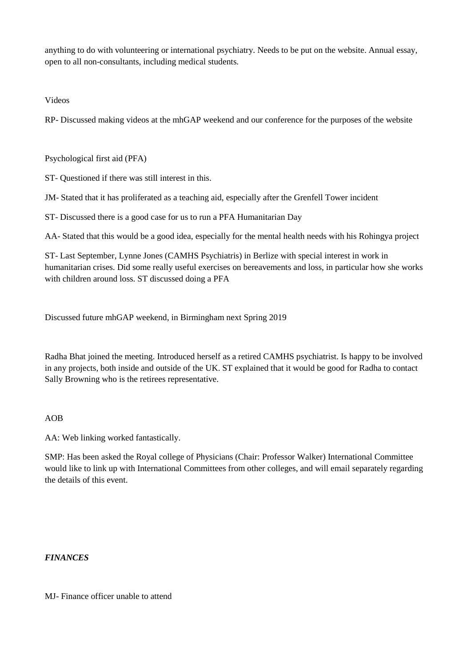anything to do with volunteering or international psychiatry. Needs to be put on the website. Annual essay, open to all non-consultants, including medical students.

Videos

RP- Discussed making videos at the mhGAP weekend and our conference for the purposes of the website

Psychological first aid (PFA)

ST- Questioned if there was still interest in this.

JM- Stated that it has proliferated as a teaching aid, especially after the Grenfell Tower incident

ST- Discussed there is a good case for us to run a PFA Humanitarian Day

AA- Stated that this would be a good idea, especially for the mental health needs with his Rohingya project

ST- Last September, Lynne Jones (CAMHS Psychiatris) in Berlize with special interest in work in humanitarian crises. Did some really useful exercises on bereavements and loss, in particular how she works with children around loss. ST discussed doing a PFA

Discussed future mhGAP weekend, in Birmingham next Spring 2019

Radha Bhat joined the meeting. Introduced herself as a retired CAMHS psychiatrist. Is happy to be involved in any projects, both inside and outside of the UK. ST explained that it would be good for Radha to contact Sally Browning who is the retirees representative.

#### AOB

AA: Web linking worked fantastically.

SMP: Has been asked the Royal college of Physicians (Chair: Professor Walker) International Committee would like to link up with International Committees from other colleges, and will email separately regarding the details of this event.

#### *FINANCES*

MJ- Finance officer unable to attend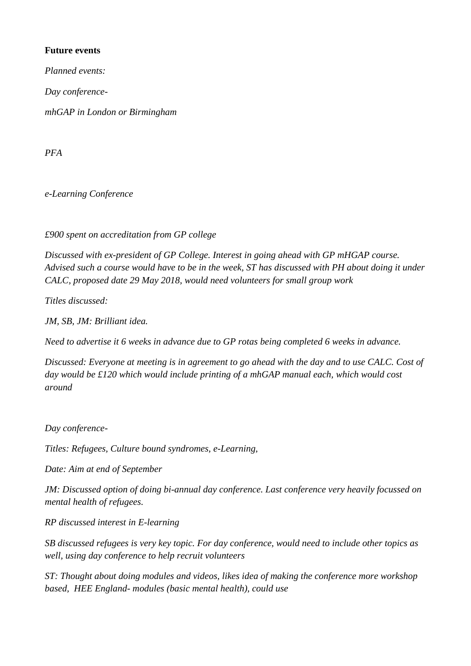### **Future events**

*Planned events:*

*Day conference-*

*mhGAP in London or Birmingham*

*PFA*

*e-Learning Conference*

*£900 spent on accreditation from GP college*

*Discussed with ex-president of GP College. Interest in going ahead with GP mHGAP course. Advised such a course would have to be in the week, ST has discussed with PH about doing it under CALC, proposed date 29 May 2018, would need volunteers for small group work*

*Titles discussed:* 

*JM, SB, JM: Brilliant idea.*

*Need to advertise it 6 weeks in advance due to GP rotas being completed 6 weeks in advance.*

*Discussed: Everyone at meeting is in agreement to go ahead with the day and to use CALC. Cost of day would be £120 which would include printing of a mhGAP manual each, which would cost around* 

*Day conference-*

*Titles: Refugees, Culture bound syndromes, e-Learning,* 

*Date: Aim at end of September*

*JM: Discussed option of doing bi-annual day conference. Last conference very heavily focussed on mental health of refugees.*

*RP discussed interest in E-learning*

*SB discussed refugees is very key topic. For day conference, would need to include other topics as well, using day conference to help recruit volunteers*

*ST: Thought about doing modules and videos, likes idea of making the conference more workshop based, HEE England- modules (basic mental health), could use*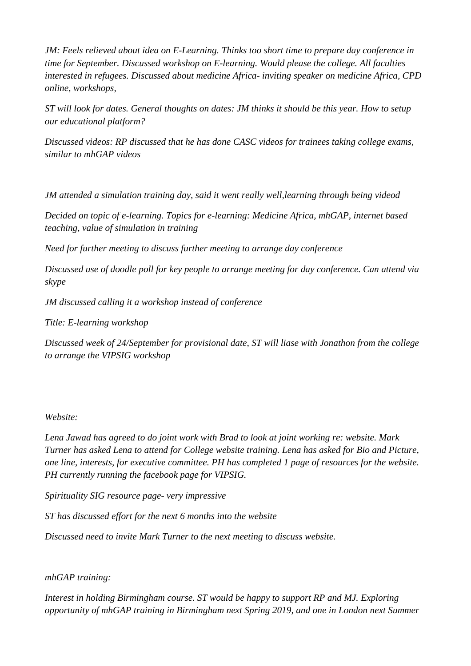*JM: Feels relieved about idea on E-Learning. Thinks too short time to prepare day conference in time for September. Discussed workshop on E-learning. Would please the college. All faculties interested in refugees. Discussed about medicine Africa- inviting speaker on medicine Africa, CPD online, workshops,* 

*ST will look for dates. General thoughts on dates: JM thinks it should be this year. How to setup our educational platform?* 

*Discussed videos: RP discussed that he has done CASC videos for trainees taking college exams, similar to mhGAP videos* 

*JM attended a simulation training day, said it went really well,learning through being videod*

*Decided on topic of e-learning. Topics for e-learning: Medicine Africa, mhGAP, internet based teaching, value of simulation in training*

*Need for further meeting to discuss further meeting to arrange day conference*

*Discussed use of doodle poll for key people to arrange meeting for day conference. Can attend via skype*

*JM discussed calling it a workshop instead of conference*

*Title: E-learning workshop*

*Discussed week of 24/September for provisional date, ST will liase with Jonathon from the college to arrange the VIPSIG workshop*

#### *Website:*

*Lena Jawad has agreed to do joint work with Brad to look at joint working re: website. Mark Turner has asked Lena to attend for College website training. Lena has asked for Bio and Picture, one line, interests, for executive committee. PH has completed 1 page of resources for the website. PH currently running the facebook page for VIPSIG.* 

*Spirituality SIG resource page- very impressive*

*ST has discussed effort for the next 6 months into the website*

*Discussed need to invite Mark Turner to the next meeting to discuss website.*

#### *mhGAP training:*

*Interest in holding Birmingham course. ST would be happy to support RP and MJ. Exploring opportunity of mhGAP training in Birmingham next Spring 2019, and one in London next Summer*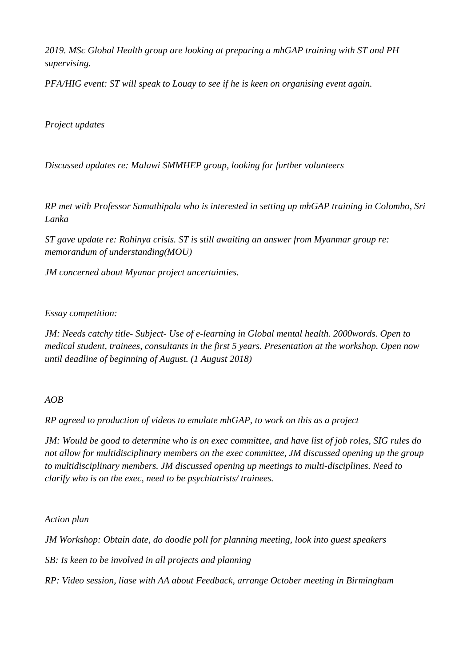*2019. MSc Global Health group are looking at preparing a mhGAP training with ST and PH supervising.*

*PFA/HIG event: ST will speak to Louay to see if he is keen on organising event again.*

*Project updates*

*Discussed updates re: Malawi SMMHEP group, looking for further volunteers*

*RP met with Professor Sumathipala who is interested in setting up mhGAP training in Colombo, Sri Lanka*

*ST gave update re: Rohinya crisis. ST is still awaiting an answer from Myanmar group re: memorandum of understanding(MOU)*

*JM concerned about Myanar project uncertainties.*

#### *Essay competition:*

*JM: Needs catchy title- Subject- Use of e-learning in Global mental health. 2000words. Open to medical student, trainees, consultants in the first 5 years. Presentation at the workshop. Open now until deadline of beginning of August. (1 August 2018)*

#### *AOB*

*RP agreed to production of videos to emulate mhGAP, to work on this as a project*

*JM: Would be good to determine who is on exec committee, and have list of job roles, SIG rules do not allow for multidisciplinary members on the exec committee, JM discussed opening up the group to multidisciplinary members. JM discussed opening up meetings to multi-disciplines. Need to clarify who is on the exec, need to be psychiatrists/ trainees.*

*Action plan*

*JM Workshop: Obtain date, do doodle poll for planning meeting, look into guest speakers*

*SB: Is keen to be involved in all projects and planning*

*RP: Video session, liase with AA about Feedback, arrange October meeting in Birmingham*